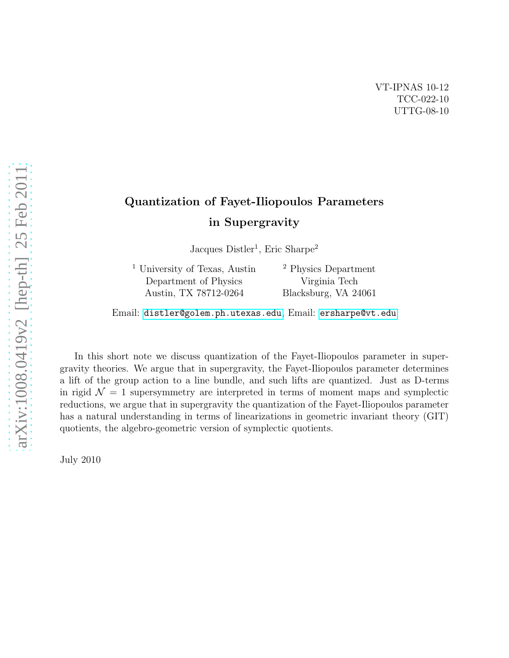# Quantization of Fayet-Iliopoulos Parameters in Supergravity

Jacques Distler<sup>1</sup>, Eric Sharpe<sup>2</sup>

<sup>1</sup> University of Texas, Austin Department of Physics Austin, TX 78712-0264

<sup>2</sup> Physics Department Virginia Tech Blacksburg, VA 24061

Email: [distler@golem.ph.utexas.edu](mailto:\protect \protect \protect \edef OT1{OT1}\let \enc@update \relax \protect \edef cmr{cmr}\protect \edef m{m}\protect \edef n{n}\protect \xdef \OT1/cmr/m/n/12 {\OT1/cmr/m/n/12 }\OT1/cmr/m/n/12 \size@update \enc@update \ignorespaces \relax \protect \relax \protect \edef cmr{cmtt}\protect \xdef \OT1/cmr/m/n/12 {\OT1/cmr/m/n/12 }\OT1/cmr/m/n/12 \size@update \enc@update distler@golem.ph.utexas.edu), Email: [ersharpe@vt.edu](mailto:\protect \protect \protect \edef OT1{OT1}\let \enc@update \relax \protect \edef cmr{cmr}\protect \edef m{m}\protect \edef n{n}\protect \xdef \OT1/cmr/m/n/12 {\OT1/cmr/m/n/12 }\OT1/cmr/m/n/12 \size@update \enc@update \ignorespaces \relax \protect \relax \protect \edef cmr{cmtt}\protect \xdef \OT1/cmr/m/n/12 {\OT1/cmr/m/n/12 }\OT1/cmr/m/n/12 \size@update \enc@update ersharpe@vt.edu)

In this short note we discuss quantization of the Fayet-Iliopoulos parameter in supergravity theories. We argue that in supergravity, the Fayet-Iliopoulos parameter determines a lift of the group action to a line bundle, and such lifts are quantized. Just as D-terms in rigid  $\mathcal{N} = 1$  supersymmetry are interpreted in terms of moment maps and symplectic reductions, we argue that in supergravity the quantization of the Fayet-Iliopoulos parameter has a natural understanding in terms of linearizations in geometric invariant theory (GIT) quotients, the algebro-geometric version of symplectic quotients.

July 2010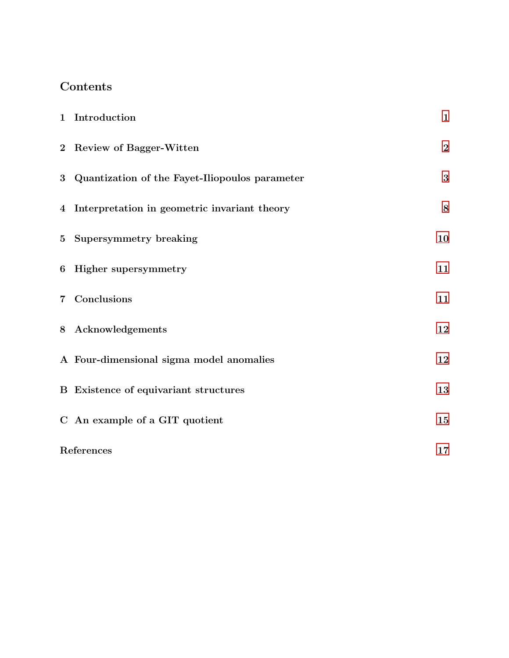# Contents

| 1 Introduction                                   | $\mathbf{1}$     |
|--------------------------------------------------|------------------|
| 2 Review of Bagger-Witten                        | $\boldsymbol{2}$ |
| 3 Quantization of the Fayet-Iliopoulos parameter | $\bf{3}$         |
| 4 Interpretation in geometric invariant theory   | $\bf 8$          |
| 5 Supersymmetry breaking                         | 10               |
| 6 Higher supersymmetry                           | 11               |
| 7 Conclusions                                    | 11               |
| 8 Acknowledgements                               | 12               |
| A Four-dimensional sigma model anomalies         | 12               |
| <b>B</b> Existence of equivariant structures     | 13               |
| C An example of a GIT quotient                   | 15               |
| References                                       | 17               |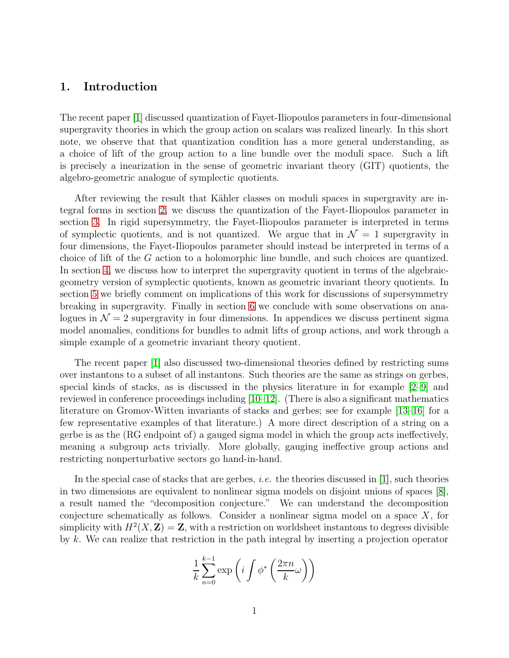# <span id="page-2-0"></span>1. Introduction

The recent paper [\[1\]](#page-18-0) discussed quantization of Fayet-Iliopoulos parameters in four-dimensional supergravity theories in which the group action on scalars was realized linearly. In this short note, we observe that that quantization condition has a more general understanding, as a choice of lift of the group action to a line bundle over the moduli space. Such a lift is precisely a inearization in the sense of geometric invariant theory (GIT) quotients, the algebro-geometric analogue of symplectic quotients.

After reviewing the result that Kähler classes on moduli spaces in supergravity are integral forms in section [2,](#page-3-0) we discuss the quantization of the Fayet-Iliopoulos parameter in section [3.](#page-4-0) In rigid supersymmetry, the Fayet-Iliopoulos parameter is interpreted in terms of symplectic quotients, and is not quantized. We argue that in  $\mathcal{N} = 1$  supergravity in four dimensions, the Fayet-Iliopoulos parameter should instead be interpreted in terms of a choice of lift of the G action to a holomorphic line bundle, and such choices are quantized. In section [4,](#page-9-0) we discuss how to interpret the supergravity quotient in terms of the algebraicgeometry version of symplectic quotients, known as geometric invariant theory quotients. In section [5](#page-11-0) we briefly comment on implications of this work for discussions of supersymmetry breaking in supergravity. Finally in section [6](#page-12-0) we conclude with some observations on analogues in  $\mathcal{N} = 2$  supergravity in four dimensions. In appendices we discuss pertinent sigma model anomalies, conditions for bundles to admit lifts of group actions, and work through a simple example of a geometric invariant theory quotient.

The recent paper [\[1\]](#page-18-0) also discussed two-dimensional theories defined by restricting sums over instantons to a subset of all instantons. Such theories are the same as strings on gerbes, special kinds of stacks, as is discussed in the physics literature in for example [\[2–](#page-18-1)[9\]](#page-19-0) and reviewed in conference proceedings including  $[10-12]$ . (There is also a significant mathematics literature on Gromov-Witten invariants of stacks and gerbes; see for example [\[13–](#page-19-3)[16\]](#page-19-4) for a few representative examples of that literature.) A more direct description of a string on a gerbe is as the (RG endpoint of) a gauged sigma model in which the group acts ineffectively, meaning a subgroup acts trivially. More globally, gauging ineffective group actions and restricting nonperturbative sectors go hand-in-hand.

In the special case of stacks that are gerbes, *i.e.* the theories discussed in [\[1\]](#page-18-0), such theories in two dimensions are equivalent to nonlinear sigma models on disjoint unions of spaces [\[8\]](#page-19-5), a result named the "decomposition conjecture." We can understand the decomposition conjecture schematically as follows. Consider a nonlinear sigma model on a space  $X$ , for simplicity with  $H^2(X, \mathbf{Z}) = \mathbf{Z}$ , with a restriction on worldsheet instantons to degrees divisible by k. We can realize that restriction in the path integral by inserting a projection operator

$$
\frac{1}{k} \sum_{n=0}^{k-1} \exp\left(i \int \phi^* \left(\frac{2\pi n}{k} \omega\right)\right)
$$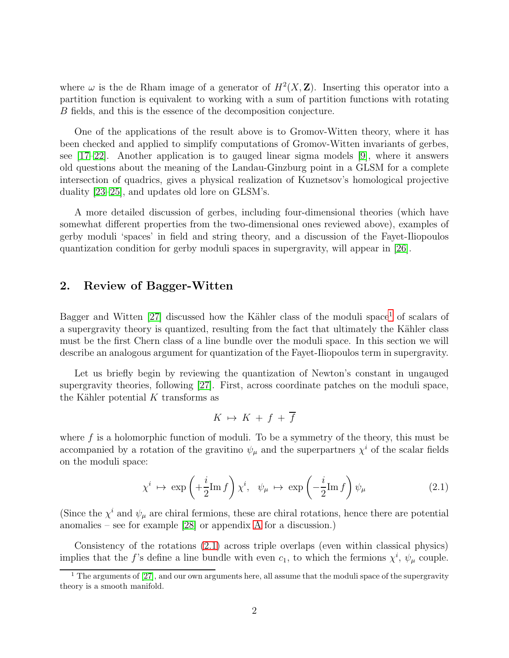where  $\omega$  is the de Rham image of a generator of  $H^2(X, \mathbb{Z})$ . Inserting this operator into a partition function is equivalent to working with a sum of partition functions with rotating B fields, and this is the essence of the decomposition conjecture.

One of the applications of the result above is to Gromov-Witten theory, where it has been checked and applied to simplify computations of Gromov-Witten invariants of gerbes, see [\[17](#page-19-6)[–22\]](#page-20-0). Another application is to gauged linear sigma models [\[9\]](#page-19-0), where it answers old questions about the meaning of the Landau-Ginzburg point in a GLSM for a complete intersection of quadrics, gives a physical realization of Kuznetsov's homological projective duality [\[23](#page-20-1)[–25\]](#page-20-2), and updates old lore on GLSM's.

A more detailed discussion of gerbes, including four-dimensional theories (which have somewhat different properties from the two-dimensional ones reviewed above), examples of gerby moduli 'spaces' in field and string theory, and a discussion of the Fayet-Iliopoulos quantization condition for gerby moduli spaces in supergravity, will appear in [\[26\]](#page-20-3).

#### <span id="page-3-0"></span>2. Review of Bagger-Witten

Bagger and Witten  $[27]$  discussed how the Kähler class of the moduli space<sup>[1](#page-3-1)</sup> of scalars of a supergravity theory is quantized, resulting from the fact that ultimately the Kähler class must be the first Chern class of a line bundle over the moduli space. In this section we will describe an analogous argument for quantization of the Fayet-Iliopoulos term in supergravity.

Let us briefly begin by reviewing the quantization of Newton's constant in ungauged supergravity theories, following [\[27\]](#page-20-4). First, across coordinate patches on the moduli space, the Kähler potential  $K$  transforms as

$$
K \mapsto K + f + \overline{f}
$$

where  $f$  is a holomorphic function of moduli. To be a symmetry of the theory, this must be accompanied by a rotation of the gravitino  $\psi_{\mu}$  and the superpartners  $\chi^{i}$  of the scalar fields on the moduli space:

<span id="page-3-2"></span>
$$
\chi^i \ \mapsto \ \exp\left(+\frac{i}{2}\mathrm{Im}\,f\right)\chi^i, \ \ \psi_\mu \ \mapsto \ \exp\left(-\frac{i}{2}\mathrm{Im}\,f\right)\psi_\mu \tag{2.1}
$$

(Since the  $\chi^i$  and  $\psi_\mu$  are chiral fermions, these are chiral rotations, hence there are potential anomalies – see for example [\[28\]](#page-20-5) or appendix [A](#page-13-1) for a discussion.)

Consistency of the rotations [\(2.1\)](#page-3-2) across triple overlaps (even within classical physics) implies that the f's define a line bundle with even  $c_1$ , to which the fermions  $\chi^i$ ,  $\psi_\mu$  couple.

<span id="page-3-1"></span> $1$  The arguments of [\[27\]](#page-20-4), and our own arguments here, all assume that the moduli space of the supergravity theory is a smooth manifold.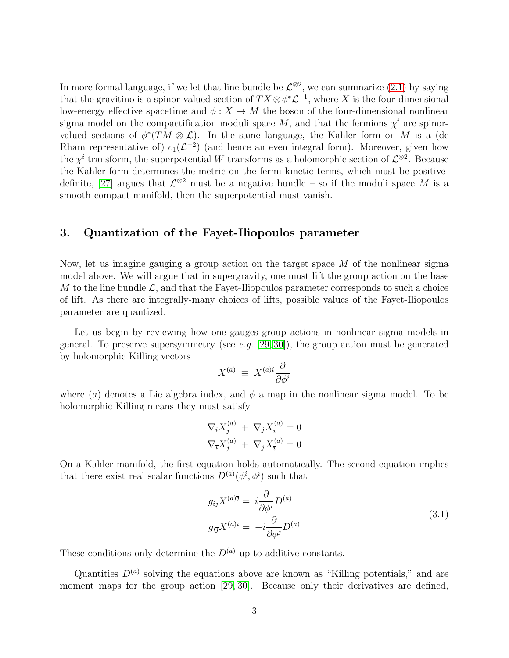In more formal language, if we let that line bundle be  $\mathcal{L}^{\otimes 2}$ , we can summarize  $(2.1)$  by saying that the gravitino is a spinor-valued section of  $TX \otimes \phi^* \mathcal{L}^{-1}$ , where X is the four-dimensional low-energy effective spacetime and  $\phi: X \to M$  the boson of the four-dimensional nonlinear sigma model on the compactification moduli space  $M$ , and that the fermions  $\chi^i$  are spinorvalued sections of  $\phi^*(TM \otimes \mathcal{L})$ . In the same language, the Kähler form on M is a (de Rham representative of)  $c_1(\mathcal{L}^{-2})$  (and hence an even integral form). Moreover, given how the  $\chi^i$  transform, the superpotential W transforms as a holomorphic section of  $\mathcal{L}^{\otimes 2}$ . Because the Kähler form determines the metric on the fermi kinetic terms, which must be positive-definite, [\[27\]](#page-20-4) argues that  $\mathcal{L}^{\otimes 2}$  must be a negative bundle – so if the moduli space M is a smooth compact manifold, then the superpotential must vanish.

#### <span id="page-4-0"></span>3. Quantization of the Fayet-Iliopoulos parameter

Now, let us imagine gauging a group action on the target space M of the nonlinear sigma model above. We will argue that in supergravity, one must lift the group action on the base M to the line bundle  $\mathcal{L}$ , and that the Fayet-Iliopoulos parameter corresponds to such a choice of lift. As there are integrally-many choices of lifts, possible values of the Fayet-Iliopoulos parameter are quantized.

Let us begin by reviewing how one gauges group actions in nonlinear sigma models in general. To preserve supersymmetry (see e.g.  $[29, 30]$  $[29, 30]$ ), the group action must be generated by holomorphic Killing vectors

$$
X^{(a)} \,\equiv\, X^{(a)i} \frac{\partial}{\partial \phi^i}
$$

where (a) denotes a Lie algebra index, and  $\phi$  a map in the nonlinear sigma model. To be holomorphic Killing means they must satisfy

$$
\nabla_i X_j^{(a)} + \nabla_j X_i^{(a)} = 0
$$
  

$$
\nabla_{\overline{i}} X_j^{(a)} + \nabla_j X_{\overline{i}}^{(a)} = 0
$$

On a Kähler manifold, the first equation holds automatically. The second equation implies that there exist real scalar functions  $D^{(a)}(\phi^i, \phi^{\bar{i}})$  such that

$$
g_{i\overline{j}}X^{(a)\overline{j}} = i\frac{\partial}{\partial\phi^i}D^{(a)}
$$
  

$$
g_{i\overline{j}}X^{(a)i} = -i\frac{\partial}{\partial\phi^{\overline{j}}}D^{(a)}
$$
 (3.1)

<span id="page-4-1"></span>These conditions only determine the  $D^{(a)}$  up to additive constants.

Quantities  $D^{(a)}$  solving the equations above are known as "Killing potentials," and are moment maps for the group action [\[29,](#page-20-6) [30\]](#page-20-7). Because only their derivatives are defined,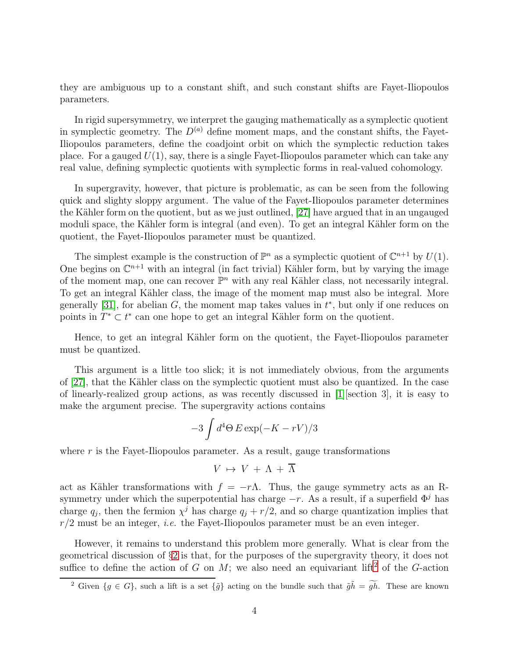they are ambiguous up to a constant shift, and such constant shifts are Fayet-Iliopoulos parameters.

In rigid supersymmetry, we interpret the gauging mathematically as a symplectic quotient in symplectic geometry. The  $D^{(a)}$  define moment maps, and the constant shifts, the Fayet-Iliopoulos parameters, define the coadjoint orbit on which the symplectic reduction takes place. For a gauged  $U(1)$ , say, there is a single Fayet-Iliopoulos parameter which can take any real value, defining symplectic quotients with symplectic forms in real-valued cohomology.

In supergravity, however, that picture is problematic, as can be seen from the following quick and slighty sloppy argument. The value of the Fayet-Iliopoulos parameter determines the Kähler form on the quotient, but as we just outlined, [\[27\]](#page-20-4) have argued that in an ungauged moduli space, the Kähler form is integral (and even). To get an integral Kähler form on the quotient, the Fayet-Iliopoulos parameter must be quantized.

The simplest example is the construction of  $\mathbb{P}^n$  as a symplectic quotient of  $\mathbb{C}^{n+1}$  by  $U(1)$ . One begins on  $\mathbb{C}^{n+1}$  with an integral (in fact trivial) Kähler form, but by varying the image of the moment map, one can recover  $\mathbb{P}^n$  with any real Kähler class, not necessarily integral. To get an integral Kähler class, the image of the moment map must also be integral. More generally [\[31\]](#page-20-8), for abelian  $G$ , the moment map takes values in  $t^*$ , but only if one reduces on points in  $T^* \subset t^*$  can one hope to get an integral Kähler form on the quotient.

Hence, to get an integral Kähler form on the quotient, the Fayet-Iliopoulos parameter must be quantized.

This argument is a little too slick; it is not immediately obvious, from the arguments of [\[27\]](#page-20-4), that the Kähler class on the symplectic quotient must also be quantized. In the case of linearly-realized group actions, as was recently discussed in [\[1\]](#page-18-0)[section 3], it is easy to make the argument precise. The supergravity actions contains

$$
-3\int d^4\Theta\, E\exp(-K-rV)/3
$$

where  $r$  is the Fayet-Iliopoulos parameter. As a result, gauge transformations

$$
V \, \mapsto \, V \, + \, \Lambda \, + \, \overline{\Lambda}
$$

act as Kähler transformations with  $f = -r\Lambda$ . Thus, the gauge symmetry acts as an Rsymmetry under which the superpotential has charge  $-r$ . As a result, if a superfield  $\Phi^j$  has charge  $q_j$ , then the fermion  $\chi^j$  has charge  $q_j + r/2$ , and so charge quantization implies that  $r/2$  must be an integer, *i.e.* the Fayet-Iliopoulos parameter must be an even integer.

However, it remains to understand this problem more generally. What is clear from the geometrical discussion of §[2](#page-3-0) is that, for the purposes of the supergravity theory, it does not suffice to define the action of G on M; we also need an equivariant lift<sup>[2](#page-5-0)</sup> of the G-action

<span id="page-5-0"></span><sup>&</sup>lt;sup>2</sup> Given  $\{g \in G\}$ , such a lift is a set  $\{\tilde{g}\}$  acting on the bundle such that  $\tilde{g}\tilde{h} = \tilde{g}\tilde{h}$ . These are known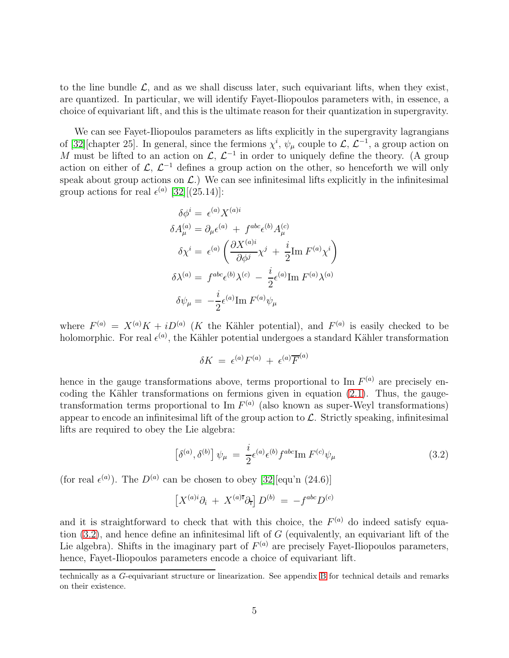to the line bundle  $\mathcal{L}$ , and as we shall discuss later, such equivariant lifts, when they exist, are quantized. In particular, we will identify Fayet-Iliopoulos parameters with, in essence, a choice of equivariant lift, and this is the ultimate reason for their quantization in supergravity.

We can see Fayet-Iliopoulos parameters as lifts explicitly in the supergravity lagrangians of [\[32\]](#page-20-9) [chapter 25]. In general, since the fermions  $\chi^i$ ,  $\psi_\mu$  couple to  $\mathcal{L}, \mathcal{L}^{-1}$ , a group action on M must be lifted to an action on  $\mathcal{L}, \mathcal{L}^{-1}$  in order to uniquely define the theory. (A group action on either of  $\mathcal{L}, \mathcal{L}^{-1}$  defines a group action on the other, so henceforth we will only speak about group actions on  $\mathcal{L}$ .) We can see infinitesimal lifts explicitly in the infinitesimal group actions for real  $\epsilon^{(a)}$  [\[32\]](#page-20-9)[(25.14)]:

$$
\delta \phi^{i} = \epsilon^{(a)} X^{(a)i}
$$
  
\n
$$
\delta A_{\mu}^{(a)} = \partial_{\mu} \epsilon^{(a)} + f^{abc} \epsilon^{(b)} A_{\mu}^{(c)}
$$
  
\n
$$
\delta \chi^{i} = \epsilon^{(a)} \left( \frac{\partial X^{(a)i}}{\partial \phi^{j}} \chi^{j} + \frac{i}{2} \text{Im } F^{(a)} \chi^{i} \right)
$$
  
\n
$$
\delta \lambda^{(a)} = f^{abc} \epsilon^{(b)} \lambda^{(c)} - \frac{i}{2} \epsilon^{(a)} \text{Im } F^{(a)} \lambda^{(a)}
$$
  
\n
$$
\delta \psi_{\mu} = -\frac{i}{2} \epsilon^{(a)} \text{Im } F^{(a)} \psi_{\mu}
$$

where  $F^{(a)} = X^{(a)}K + iD^{(a)}$  (K the Kähler potential), and  $F^{(a)}$  is easily checked to be holomorphic. For real  $\epsilon^{(a)}$ , the Kähler potential undergoes a standard Kähler transformation

$$
\delta K = \epsilon^{(a)} F^{(a)} + \epsilon^{(a)} \overline{F}^{(a)}
$$

hence in the gauge transformations above, terms proportional to Im  $F^{(a)}$  are precisely encoding the Kähler transformations on fermions given in equation  $(2.1)$ . Thus, the gaugetransformation terms proportional to Im  $F^{(a)}$  (also known as super-Weyl transformations) appear to encode an infinitesimal lift of the group action to  $\mathcal{L}$ . Strictly speaking, infinitesimal lifts are required to obey the Lie algebra:

<span id="page-6-0"></span>
$$
\left[\delta^{(a)},\delta^{(b)}\right]\psi_{\mu} = \frac{i}{2}\epsilon^{(a)}\epsilon^{(b)}f^{abc}\text{Im }F^{(c)}\psi_{\mu} \tag{3.2}
$$

(for real  $\epsilon^{(a)}$ ). The  $D^{(a)}$  can be chosen to obey [\[32\]](#page-20-9)[equ'n (24.6)]

$$
\left[ X^{(a)i} \partial_i + X^{(a)i} \partial_i \right] D^{(b)} = -f^{abc} D^{(c)}
$$

and it is straightforward to check that with this choice, the  $F^{(a)}$  do indeed satisfy equation  $(3.2)$ , and hence define an infinitesimal lift of G (equivalently, an equivariant lift of the Lie algebra). Shifts in the imaginary part of  $F^{(a)}$  are precisely Fayet-Iliopoulos parameters, hence, Fayet-Iliopoulos parameters encode a choice of equivariant lift.

technically as a G-equivariant structure or linearization. See appendix [B](#page-14-0) for technical details and remarks on their existence.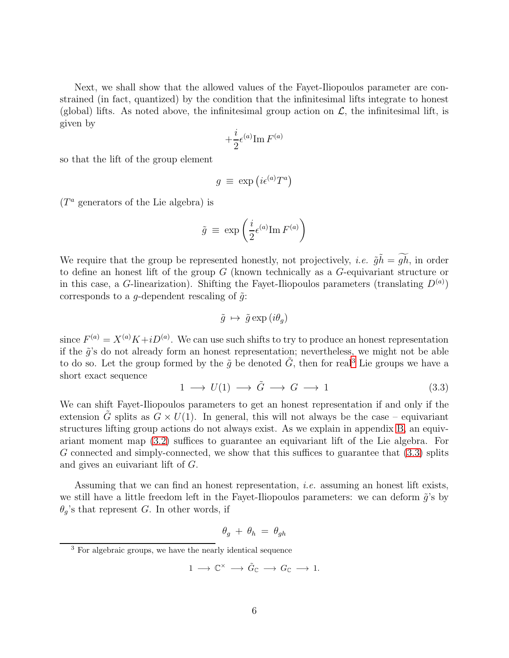Next, we shall show that the allowed values of the Fayet-Iliopoulos parameter are constrained (in fact, quantized) by the condition that the infinitesimal lifts integrate to honest (global) lifts. As noted above, the infinitesimal group action on  $\mathcal{L}$ , the infinitesimal lift, is given by

$$
+ \frac{i}{2} \epsilon^{(a)} \mathrm{Im} \, F^{(a)}
$$

so that the lift of the group element

$$
g \equiv \exp(i\epsilon^{(a)}T^a)
$$

 $(T^a)$  generators of the Lie algebra) is

$$
\tilde{g} \, \equiv \, \exp \left( \frac{i}{2} \epsilon^{(a)} \text{Im} \, F^{(a)} \right)
$$

We require that the group be represented honestly, not projectively, *i.e.*  $\tilde{q}h = \tilde{q}h$ , in order to define an honest lift of the group  $G$  (known technically as a  $G$ -equivariant structure or in this case, a G-linearization). Shifting the Fayet-Iliopoulos parameters (translating  $D^{(a)}$ ) corresponds to a g-dependent rescaling of  $\tilde{g}$ :

$$
\tilde{g} \ \mapsto \ \tilde{g} \exp(i\theta_g)
$$

since  $F^{(a)} = X^{(a)} K + i D^{(a)}$ . We can use such shifts to try to produce an honest representation if the  $\tilde{q}$ 's do not already form an honest representation; nevertheless, we might not be able to do so. Let the group formed by the  $\tilde{q}$  be denoted  $\tilde{G}$ , then for real<sup>[3](#page-7-0)</sup> Lie groups we have a short exact sequence

<span id="page-7-1"></span>
$$
1 \longrightarrow U(1) \longrightarrow \tilde{G} \longrightarrow G \longrightarrow 1 \tag{3.3}
$$

We can shift Fayet-Iliopoulos parameters to get an honest representation if and only if the extension G splits as  $G \times U(1)$ . In general, this will not always be the case – equivariant structures lifting group actions do not always exist. As we explain in appendix [B,](#page-14-0) an equivariant moment map [\(3.2\)](#page-6-0) suffices to guarantee an equivariant lift of the Lie algebra. For G connected and simply-connected, we show that this suffices to guarantee that [\(3.3\)](#page-7-1) splits and gives an euivariant lift of G.

Assuming that we can find an honest representation, i.e. assuming an honest lift exists, we still have a little freedom left in the Fayet-Iliopoulos parameters: we can deform  $\tilde{g}$ 's by  $\theta_q$ 's that represent G. In other words, if

$$
\theta_g \ + \ \theta_h \ = \ \theta_{gh}
$$

$$
1 \longrightarrow \mathbb{C}^{\times} \longrightarrow \tilde{G}_{\mathbb{C}} \longrightarrow G_{\mathbb{C}} \longrightarrow 1.
$$

<span id="page-7-0"></span><sup>&</sup>lt;sup>3</sup> For algebraic groups, we have the nearly identical sequence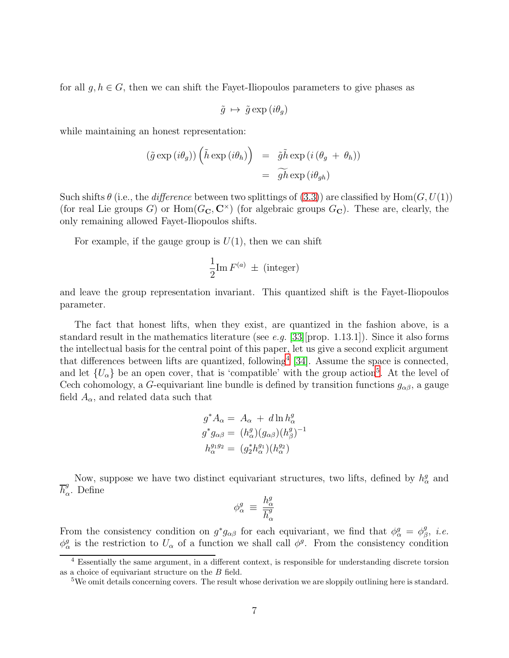for all  $g, h \in G$ , then we can shift the Fayet-Iliopoulos parameters to give phases as

$$
\tilde{g} \ \mapsto \ \tilde{g} \exp(i\theta_g)
$$

while maintaining an honest representation:

$$
(\tilde{g} \exp(i\theta_g)) \left(\tilde{h} \exp(i\theta_h)\right) = \tilde{g}\tilde{h} \exp(i(\theta_g + \theta_h))
$$

$$
= \tilde{g}\tilde{h} \exp(i\theta_{gh})
$$

Such shifts  $\theta$  (i.e., the *difference* between two splittings of [\(3.3\)](#page-7-1)) are classified by Hom( $G, U(1)$ ) (for real Lie groups G) or  $Hom(G_{\mathbf{C}}, \mathbf{C}^{\times})$  (for algebraic groups  $G_{\mathbf{C}}$ ). These are, clearly, the only remaining allowed Fayet-Iliopoulos shifts.

For example, if the gauge group is  $U(1)$ , then we can shift

$$
\frac{1}{2}\mathrm{Im}\,F^{(a)}\,\pm\,(\text{integer})
$$

and leave the group representation invariant. This quantized shift is the Fayet-Iliopoulos parameter.

The fact that honest lifts, when they exist, are quantized in the fashion above, is a standard result in the mathematics literature (see e.g. [\[33\]](#page-20-10) [prop. 1.13.1]). Since it also forms the intellectual basis for the central point of this paper, let us give a second explicit argument that differences between lifts are quantized, following<sup>[4](#page-8-0)</sup> [\[34\]](#page-20-11). Assume the space is connected, and let  $\{U_{\alpha}\}\$ be an open cover, that is 'compatible' with the group action<sup>[5](#page-8-1)</sup>. At the level of Cech cohomology, a G-equivariant line bundle is defined by transition functions  $g_{\alpha\beta}$ , a gauge field  $A_{\alpha}$ , and related data such that

$$
g^* A_\alpha = A_\alpha + d \ln h_\alpha^g
$$
  
\n
$$
g^* g_{\alpha\beta} = (h_\alpha^g) (g_{\alpha\beta}) (h_\beta^g)^{-1}
$$
  
\n
$$
h_\alpha^{g_1 g_2} = (g_2^* h_\alpha^{g_1}) (h_\alpha^{g_2})
$$

Now, suppose we have two distinct equivariant structures, two lifts, defined by  $h^g_\alpha$  and  $\overline{h}^g_o$  $\alpha^9$ . Define

$$
\phi^g_\alpha \; \equiv \; \frac{h^g_\alpha}{\overline{h}^g_\alpha}
$$

From the consistency condition on  $g^*g_{\alpha\beta}$  for each equivariant, we find that  $\phi^g_\alpha = \phi^g_\beta$  $^g_\beta, \; i.e.$  $\phi^g_\alpha$  is the restriction to  $U_\alpha$  of a function we shall call  $\phi^g$ . From the consistency condition

<sup>&</sup>lt;sup>4</sup> Essentially the same argument, in a different context, is responsible for understanding discrete torsion as a choice of equivariant structure on the B field.

<span id="page-8-1"></span><span id="page-8-0"></span><sup>&</sup>lt;sup>5</sup>We omit details concerning covers. The result whose derivation we are sloppily outlining here is standard.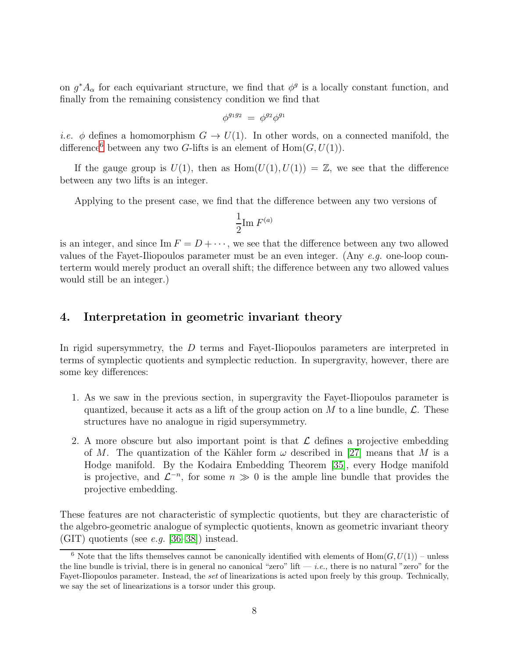on  $g^*A_\alpha$  for each equivariant structure, we find that  $\phi^g$  is a locally constant function, and finally from the remaining consistency condition we find that

$$
\phi^{g_1 g_2} = \phi^{g_2} \phi^{g_1}
$$

*i.e.*  $\phi$  defines a homomorphism  $G \to U(1)$ . In other words, on a connected manifold, the difference<sup>[6](#page-9-1)</sup> between any two G-lifts is an element of  $Hom(G, U(1))$ .

If the gauge group is  $U(1)$ , then as  $Hom(U(1), U(1)) = \mathbb{Z}$ , we see that the difference between any two lifts is an integer.

Applying to the present case, we find that the difference between any two versions of

$$
\frac{1}{2}\mathrm{Im}\,F^{(a)}
$$

is an integer, and since  $\text{Im } F = D + \cdots$ , we see that the difference between any two allowed values of the Fayet-Iliopoulos parameter must be an even integer. (Any  $e.g.$  one-loop counterterm would merely product an overall shift; the difference between any two allowed values would still be an integer.)

#### <span id="page-9-0"></span>4. Interpretation in geometric invariant theory

In rigid supersymmetry, the D terms and Fayet-Iliopoulos parameters are interpreted in terms of symplectic quotients and symplectic reduction. In supergravity, however, there are some key differences:

- 1. As we saw in the previous section, in supergravity the Fayet-Iliopoulos parameter is quantized, because it acts as a lift of the group action on M to a line bundle,  $\mathcal{L}$ . These structures have no analogue in rigid supersymmetry.
- 2. A more obscure but also important point is that  $\mathcal L$  defines a projective embedding of M. The quantization of the Kähler form  $\omega$  described in [\[27\]](#page-20-4) means that M is a Hodge manifold. By the Kodaira Embedding Theorem [\[35\]](#page-21-0), every Hodge manifold is projective, and  $\mathcal{L}^{-n}$ , for some  $n \gg 0$  is the ample line bundle that provides the projective embedding.

These features are not characteristic of symplectic quotients, but they are characteristic of the algebro-geometric analogue of symplectic quotients, known as geometric invariant theory (GIT) quotients (see *e.g.* [\[36–](#page-21-1)[38\]](#page-21-2)) instead.

<span id="page-9-1"></span><sup>&</sup>lt;sup>6</sup> Note that the lifts themselves cannot be canonically identified with elements of  $Hom(G, U(1))$  – unless the line bundle is trivial, there is in general no canonical "zero" lift  $-i.e.,$  there is no natural "zero" for the Fayet-Iliopoulos parameter. Instead, the set of linearizations is acted upon freely by this group. Technically, we say the set of linearizations is a torsor under this group.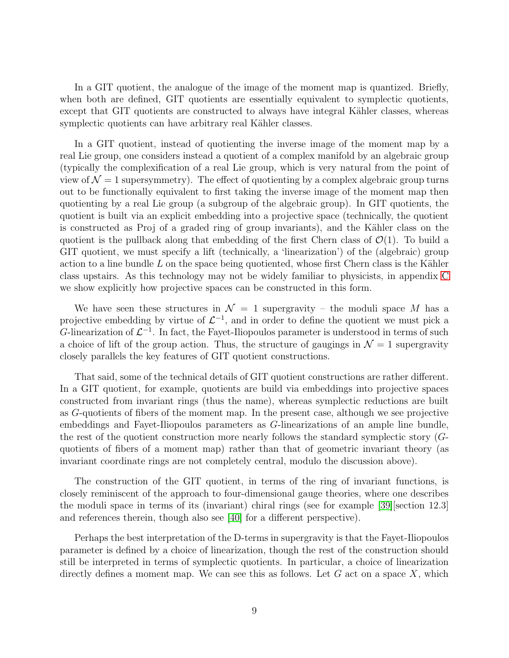In a GIT quotient, the analogue of the image of the moment map is quantized. Briefly, when both are defined, GIT quotients are essentially equivalent to symplectic quotients, except that GIT quotients are constructed to always have integral Kähler classes, whereas symplectic quotients can have arbitrary real Kähler classes.

In a GIT quotient, instead of quotienting the inverse image of the moment map by a real Lie group, one considers instead a quotient of a complex manifold by an algebraic group (typically the complexification of a real Lie group, which is very natural from the point of view of  $\mathcal{N} = 1$  supersymmetry). The effect of quotienting by a complex algebraic group turns out to be functionally equivalent to first taking the inverse image of the moment map then quotienting by a real Lie group (a subgroup of the algebraic group). In GIT quotients, the quotient is built via an explicit embedding into a projective space (technically, the quotient is constructed as Proj of a graded ring of group invariants), and the Kähler class on the quotient is the pullback along that embedding of the first Chern class of  $\mathcal{O}(1)$ . To build a GIT quotient, we must specify a lift (technically, a 'linearization') of the (algebraic) group action to a line bundle  $L$  on the space being quotiented, whose first Chern class is the Kähler class upstairs. As this technology may not be widely familiar to physicists, in appendix [C](#page-16-0) we show explicitly how projective spaces can be constructed in this form.

We have seen these structures in  $\mathcal{N} = 1$  supergravity – the moduli space M has a projective embedding by virtue of  $\mathcal{L}^{-1}$ , and in order to define the quotient we must pick a G-linearization of  $\mathcal{L}^{-1}$ . In fact, the Fayet-Iliopoulos parameter is understood in terms of such a choice of lift of the group action. Thus, the structure of gaugings in  $\mathcal{N} = 1$  supergravity closely parallels the key features of GIT quotient constructions.

That said, some of the technical details of GIT quotient constructions are rather different. In a GIT quotient, for example, quotients are build via embeddings into projective spaces constructed from invariant rings (thus the name), whereas symplectic reductions are built as G-quotients of fibers of the moment map. In the present case, although we see projective embeddings and Fayet-Iliopoulos parameters as G-linearizations of an ample line bundle, the rest of the quotient construction more nearly follows the standard symplectic story (Gquotients of fibers of a moment map) rather than that of geometric invariant theory (as invariant coordinate rings are not completely central, modulo the discussion above).

The construction of the GIT quotient, in terms of the ring of invariant functions, is closely reminiscent of the approach to four-dimensional gauge theories, where one describes the moduli space in terms of its (invariant) chiral rings (see for example [\[39\]](#page-21-3)[section 12.3] and references therein, though also see [\[40\]](#page-21-4) for a different perspective).

Perhaps the best interpretation of the D-terms in supergravity is that the Fayet-Iliopoulos parameter is defined by a choice of linearization, though the rest of the construction should still be interpreted in terms of symplectic quotients. In particular, a choice of linearization directly defines a moment map. We can see this as follows. Let  $G$  act on a space  $X$ , which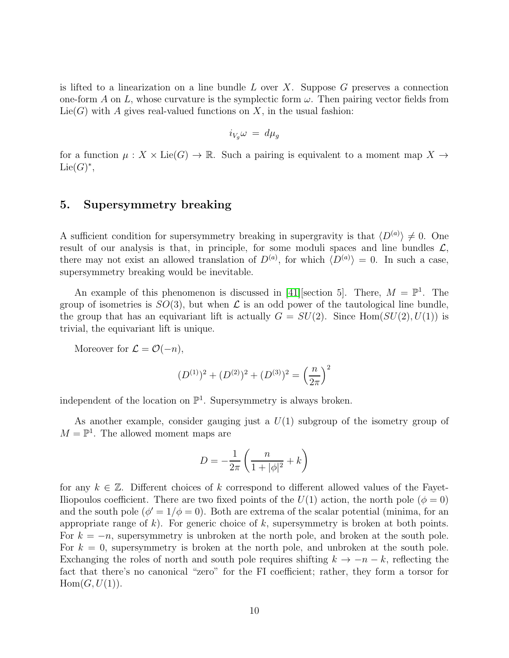is lifted to a linearization on a line bundle  $L$  over  $X$ . Suppose  $G$  preserves a connection one-form A on L, whose curvature is the symplectic form  $\omega$ . Then pairing vector fields from  $Lie(G)$  with A gives real-valued functions on X, in the usual fashion:

$$
i_{V_g}\omega \ = \ d\mu_g
$$

for a function  $\mu: X \times \text{Lie}(G) \to \mathbb{R}$ . Such a pairing is equivalent to a moment map  $X \to$  $\mathrm{Lie}(G)^*,$ 

# <span id="page-11-0"></span>5. Supersymmetry breaking

A sufficient condition for supersymmetry breaking in supergravity is that  $\langle D^{(a)} \rangle \neq 0$ . One result of our analysis is that, in principle, for some moduli spaces and line bundles  $\mathcal{L}$ , there may not exist an allowed translation of  $D^{(a)}$ , for which  $\langle D^{(a)} \rangle = 0$ . In such a case, supersymmetry breaking would be inevitable.

An example of this phenomenon is discussed in [\[41\]](#page-21-5) [section 5]. There,  $M = \mathbb{P}^1$ . The group of isometries is  $SO(3)$ , but when  $\mathcal L$  is an odd power of the tautological line bundle, the group that has an equivariant lift is actually  $G = SU(2)$ . Since Hom $(SU(2), U(1))$  is trivial, the equivariant lift is unique.

Moreover for  $\mathcal{L} = \mathcal{O}(-n)$ ,

$$
(D^{(1)})^2 + (D^{(2)})^2 + (D^{(3)})^2 = \left(\frac{n}{2\pi}\right)^2
$$

independent of the location on  $\mathbb{P}^1$ . Supersymmetry is always broken.

As another example, consider gauging just a  $U(1)$  subgroup of the isometry group of  $M = \mathbb{P}^1$ . The allowed moment maps are

$$
D = -\frac{1}{2\pi} \left( \frac{n}{1 + |\phi|^2} + k \right)
$$

for any  $k \in \mathbb{Z}$ . Different choices of k correspond to different allowed values of the Fayet-Iliopoulos coefficient. There are two fixed points of the  $U(1)$  action, the north pole  $(\phi = 0)$ and the south pole  $(\phi' = 1/\phi = 0)$ . Both are extrema of the scalar potential (minima, for an appropriate range of k). For generic choice of k, supersymmetry is broken at both points. For  $k = -n$ , supersymmetry is unbroken at the north pole, and broken at the south pole. For  $k = 0$ , supersymmetry is broken at the north pole, and unbroken at the south pole. Exchanging the roles of north and south pole requires shifting  $k \to -n-k$ , reflecting the fact that there's no canonical "zero" for the FI coefficient; rather, they form a torsor for  $Hom(G, U(1)).$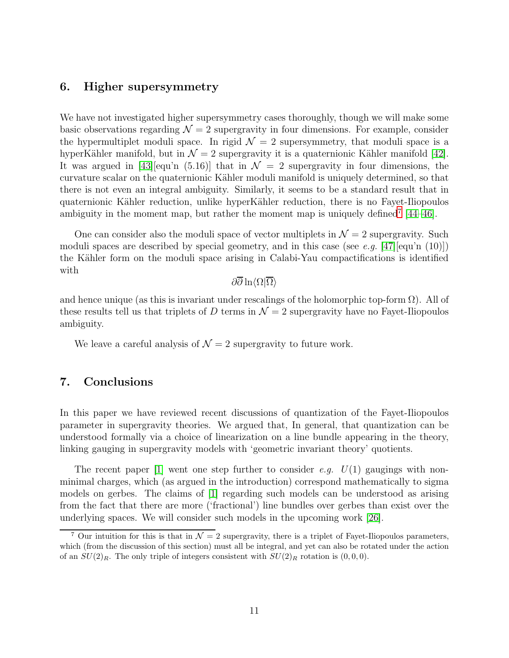# <span id="page-12-0"></span>6. Higher supersymmetry

We have not investigated higher supersymmetry cases thoroughly, though we will make some basic observations regarding  $\mathcal{N} = 2$  supergravity in four dimensions. For example, consider the hypermultiplet moduli space. In rigid  $\mathcal{N} = 2$  supersymmetry, that moduli space is a hyperKähler manifold, but in  $\mathcal{N} = 2$  supergravity it is a quaternionic Kähler manifold [\[42\]](#page-21-6). It was argued in [\[43\]](#page-21-7)[equ'n (5.16)] that in  $\mathcal{N} = 2$  supergravity in four dimensions, the curvature scalar on the quaternionic Kähler moduli manifold is uniquely determined, so that there is not even an integral ambiguity. Similarly, it seems to be a standard result that in quaternionic Kähler reduction, unlike hyperKähler reduction, there is no Fayet-Iliopoulos ambiguity in the moment map, but rather the moment map is uniquely defined<sup>[7](#page-12-2)</sup>  $[44-46]$  $[44-46]$ .

One can consider also the moduli space of vector multiplets in  $\mathcal{N}=2$  supergravity. Such moduli spaces are described by special geometry, and in this case (see e.g. [\[47\]](#page-21-10)[equ'n (10)]) the Kähler form on the moduli space arising in Calabi-Yau compactifications is identified with

# $\partial\overline{\partial}\ln\langle\Omega|\overline{\Omega}\rangle$

and hence unique (as this is invariant under rescalings of the holomorphic top-form  $\Omega$ ). All of these results tell us that triplets of D terms in  $\mathcal{N}=2$  supergravity have no Fayet-Iliopoulos ambiguity.

<span id="page-12-1"></span>We leave a careful analysis of  $\mathcal{N}=2$  supergravity to future work.

#### 7. Conclusions

In this paper we have reviewed recent discussions of quantization of the Fayet-Iliopoulos parameter in supergravity theories. We argued that, In general, that quantization can be understood formally via a choice of linearization on a line bundle appearing in the theory, linking gauging in supergravity models with 'geometric invariant theory' quotients.

The recent paper [\[1\]](#page-18-0) went one step further to consider e.g.  $U(1)$  gaugings with nonminimal charges, which (as argued in the introduction) correspond mathematically to sigma models on gerbes. The claims of [\[1\]](#page-18-0) regarding such models can be understood as arising from the fact that there are more ('fractional') line bundles over gerbes than exist over the underlying spaces. We will consider such models in the upcoming work [\[26\]](#page-20-3).

<span id="page-12-2"></span><sup>&</sup>lt;sup>7</sup> Our intuition for this is that in  $\mathcal{N} = 2$  supergravity, there is a triplet of Fayet-Iliopoulos parameters, which (from the discussion of this section) must all be integral, and yet can also be rotated under the action of an  $SU(2)_R$ . The only triple of integers consistent with  $SU(2)_R$  rotation is  $(0,0,0)$ .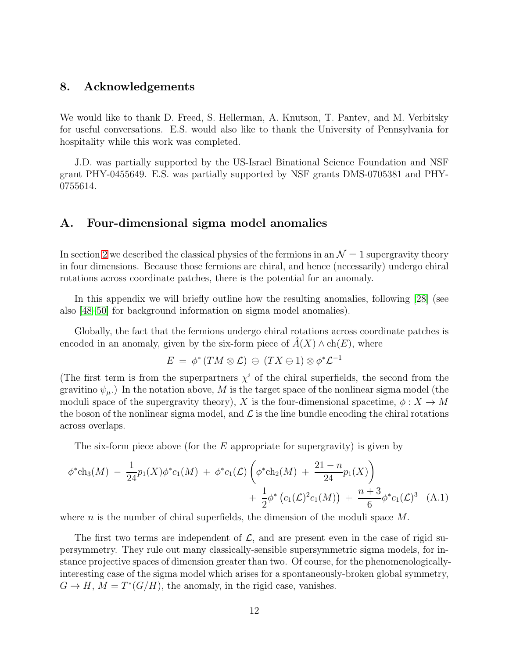#### <span id="page-13-0"></span>8. Acknowledgements

We would like to thank D. Freed, S. Hellerman, A. Knutson, T. Pantev, and M. Verbitsky for useful conversations. E.S. would also like to thank the University of Pennsylvania for hospitality while this work was completed.

J.D. was partially supported by the US-Israel Binational Science Foundation and NSF grant PHY-0455649. E.S. was partially supported by NSF grants DMS-0705381 and PHY-0755614.

#### <span id="page-13-1"></span>A. Four-dimensional sigma model anomalies

In section [2](#page-3-0) we described the classical physics of the fermions in an  $\mathcal{N}=1$  supergravity theory in four dimensions. Because those fermions are chiral, and hence (necessarily) undergo chiral rotations across coordinate patches, there is the potential for an anomaly.

In this appendix we will briefly outline how the resulting anomalies, following [\[28\]](#page-20-5) (see also [\[48](#page-21-11)[–50\]](#page-22-0) for background information on sigma model anomalies).

Globally, the fact that the fermions undergo chiral rotations across coordinate patches is encoded in an anomaly, given by the six-form piece of  $\hat{A}(X) \wedge ch(E)$ , where

<span id="page-13-2"></span>
$$
E \ = \ \phi^* \left( TM \otimes \mathcal{L} \right) \, \ominus \, \left( TX \ominus 1 \right) \otimes \phi^* \mathcal{L}^{-1}
$$

(The first term is from the superpartners  $\chi^i$  of the chiral superfields, the second from the gravitino  $\psi_{\mu}$ .) In the notation above, M is the target space of the nonlinear sigma model (the moduli space of the supergravity theory), X is the four-dimensional spacetime,  $\phi: X \to M$ the boson of the nonlinear sigma model, and  $\mathcal L$  is the line bundle encoding the chiral rotations across overlaps.

The six-form piece above (for the  $E$  appropriate for supergravity) is given by

$$
\phi^* ch_3(M) - \frac{1}{24} p_1(X) \phi^* c_1(M) + \phi^* c_1(\mathcal{L}) \left( \phi^* ch_2(M) + \frac{21 - n}{24} p_1(X) \right) + \frac{1}{2} \phi^* \left( c_1(\mathcal{L})^2 c_1(M) \right) + \frac{n+3}{6} \phi^* c_1(\mathcal{L})^3 \quad (A.1)
$$

where n is the number of chiral superfields, the dimension of the moduli space  $M$ .

The first two terms are independent of  $\mathcal{L}$ , and are present even in the case of rigid supersymmetry. They rule out many classically-sensible supersymmetric sigma models, for instance projective spaces of dimension greater than two. Of course, for the phenomenologicallyinteresting case of the sigma model which arises for a spontaneously-broken global symmetry,  $G \to H$ ,  $M = T^*(G/H)$ , the anomaly, in the rigid case, vanishes.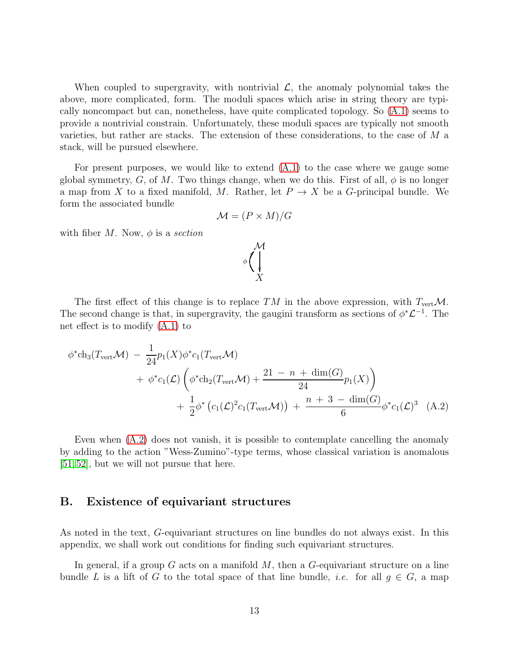When coupled to supergravity, with nontrivial  $\mathcal{L}$ , the anomaly polynomial takes the above, more complicated, form. The moduli spaces which arise in string theory are typically noncompact but can, nonetheless, have quite complicated topology. So [\(A.1\)](#page-13-2) seems to provide a nontrivial constrain. Unfortunately, these moduli spaces are typically not smooth varieties, but rather are stacks. The extension of these considerations, to the case of M a stack, will be pursued elsewhere.

For present purposes, we would like to extend  $(A.1)$  to the case where we gauge some global symmetry, G, of M. Two things change, when we do this. First of all,  $\phi$  is no longer a map from X to a fixed manifold, M. Rather, let  $P \to X$  be a G-principal bundle. We form the associated bundle

$$
\mathcal{M} = (P \times M)/G
$$

with fiber  $M$ . Now,  $\phi$  is a section

<span id="page-14-1"></span>

The first effect of this change is to replace TM in the above expression, with  $T_{\text{vert}}\mathcal{M}$ . The second change is that, in supergravity, the gaugini transform as sections of  $\phi^* \mathcal{L}^{-1}$ . The net effect is to modify [\(A.1\)](#page-13-2) to

$$
\phi^* ch_3(T_{\text{vert}} \mathcal{M}) - \frac{1}{24} p_1(X) \phi^* c_1(T_{\text{vert}} \mathcal{M}) + \phi^* c_1(\mathcal{L}) \left( \phi^* ch_2(T_{\text{vert}} \mathcal{M}) + \frac{21 - n + \dim(G)}{24} p_1(X) \right) + \frac{1}{2} \phi^* (c_1(\mathcal{L})^2 c_1(T_{\text{vert}} \mathcal{M})) + \frac{n + 3 - \dim(G)}{6} \phi^* c_1(\mathcal{L})^3 \quad (A.2)
$$

Even when [\(A.2\)](#page-14-1) does not vanish, it is possible to contemplate cancelling the anomaly by adding to the action "Wess-Zumino"-type terms, whose classical variation is anomalous [\[51,](#page-22-1) [52\]](#page-22-2), but we will not pursue that here.

#### <span id="page-14-0"></span>B. Existence of equivariant structures

As noted in the text, G-equivariant structures on line bundles do not always exist. In this appendix, we shall work out conditions for finding such equivariant structures.

In general, if a group G acts on a manifold  $M$ , then a G-equivariant structure on a line bundle L is a lift of G to the total space of that line bundle, *i.e.* for all  $q \in G$ , a map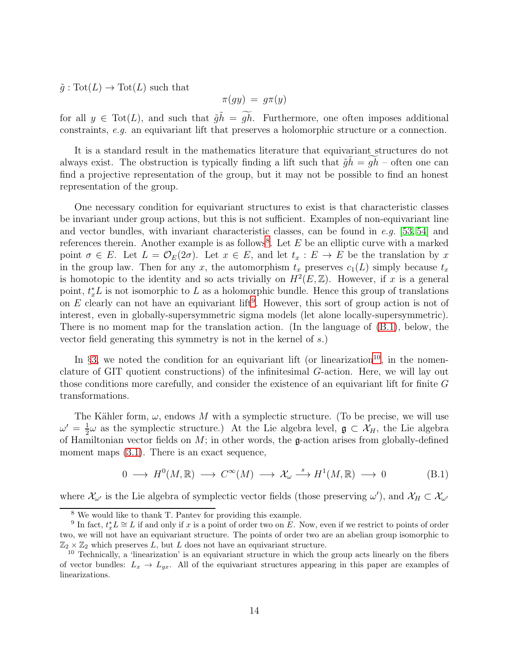$\tilde{g}: \text{Tot}(L) \to \text{Tot}(L)$  such that

$$
\pi(gy) = g\pi(y)
$$

for all  $y \in \text{Tot}(L)$ , and such that  $\tilde{g}h = \tilde{gh}$ . Furthermore, one often imposes additional constraints, e.g. an equivariant lift that preserves a holomorphic structure or a connection.

It is a standard result in the mathematics literature that equivariant structures do not always exist. The obstruction is typically finding a lift such that  $\tilde{g}h = gh$  – often one can find a projective representation of the group, but it may not be possible to find an honest representation of the group.

One necessary condition for equivariant structures to exist is that characteristic classes be invariant under group actions, but this is not sufficient. Examples of non-equivariant line and vector bundles, with invariant characteristic classes, can be found in e.g. [\[53,](#page-22-3) [54\]](#page-22-4) and references therein. Another example is as follows<sup>[8](#page-15-0)</sup>. Let  $E$  be an elliptic curve with a marked point  $\sigma \in E$ . Let  $L = \mathcal{O}_E(2\sigma)$ . Let  $x \in E$ , and let  $t_x : E \to E$  be the translation by x in the group law. Then for any x, the automorphism  $t_x$  preserves  $c_1(L)$  simply because  $t_x$ is homotopic to the identity and so acts trivially on  $H^2(E, \mathbb{Z})$ . However, if x is a general point,  $t_x^* L$  is not isomorphic to L as a holomorphic bundle. Hence this group of translations on  $E$  clearly can not have an equivariant lift<sup>[9](#page-15-1)</sup>. However, this sort of group action is not of interest, even in globally-supersymmetric sigma models (let alone locally-supersymmetric). There is no moment map for the translation action. (In the language of [\(B.1\)](#page-15-2), below, the vector field generating this symmetry is not in the kernel of s.)

In §[3,](#page-4-0) we noted the condition for an equivariant lift (or linearization<sup>[10](#page-15-3)</sup>, in the nomenclature of GIT quotient constructions) of the infinitesimal G-action. Here, we will lay out those conditions more carefully, and consider the existence of an equivariant lift for finite G transformations.

The Kähler form,  $\omega$ , endows M with a symplectic structure. (To be precise, we will use  $\omega' = \frac{1}{2}$  $\frac{1}{2}\omega$  as the symplectic structure.) At the Lie algebra level,  $\mathfrak{g} \subset \mathcal{X}_H$ , the Lie algebra of Hamiltonian vector fields on  $M$ ; in other words, the g-action arises from globally-defined moment maps  $(3.1)$ . There is an exact sequence,

<span id="page-15-2"></span>
$$
0 \longrightarrow H^{0}(M, \mathbb{R}) \longrightarrow C^{\infty}(M) \longrightarrow \mathcal{X}_{\omega} \stackrel{s}{\longrightarrow} H^{1}(M, \mathbb{R}) \longrightarrow 0
$$
 (B.1)

where  $\mathcal{X}_{\omega'}$  is the Lie algebra of symplectic vector fields (those preserving  $\omega'$ ), and  $\mathcal{X}_H \subset \mathcal{X}_{\omega'}$ 

<span id="page-15-0"></span><sup>8</sup> We would like to thank T. Pantev for providing this example.

<span id="page-15-1"></span><sup>&</sup>lt;sup>9</sup> In fact,  $t_x^* L \cong L$  if and only if x is a point of order two on E. Now, even if we restrict to points of order two, we will not have an equivariant structure. The points of order two are an abelian group isomorphic to  $\mathbb{Z}_2 \times \mathbb{Z}_2$  which preserves L, but L does not have an equivariant structure.

<span id="page-15-3"></span><sup>10</sup> Technically, a 'linearization' is an equivariant structure in which the group acts linearly on the fibers of vector bundles:  $L_x \rightarrow L_{gx}$ . All of the equivariant structures appearing in this paper are examples of linearizations.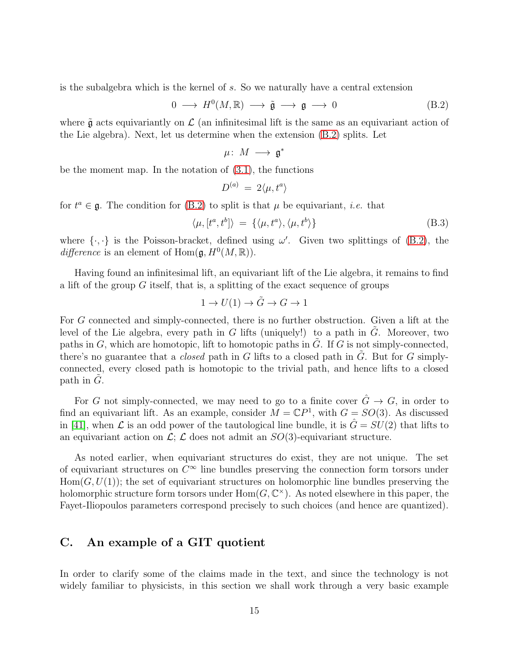is the subalgebra which is the kernel of s. So we naturally have a central extension

<span id="page-16-1"></span>
$$
0 \longrightarrow H^{0}(M, \mathbb{R}) \longrightarrow \tilde{\mathfrak{g}} \longrightarrow \mathfrak{g} \longrightarrow 0
$$
 (B.2)

where  $\tilde{\mathfrak{g}}$  acts equivariantly on  $\mathcal L$  (an infinitesimal lift is the same as an equivariant action of the Lie algebra). Next, let us determine when the extension [\(B.2\)](#page-16-1) splits. Let

$$
\mu\colon\,M\,\longrightarrow\,\mathfrak{g}^*
$$

be the moment map. In the notation of [\(3.1\)](#page-4-1), the functions

$$
D^{(a)}\ =\ 2\langle\mu,t^a\rangle
$$

for  $t^a \in \mathfrak{g}$ . The condition for [\(B.2\)](#page-16-1) to split is that  $\mu$  be equivariant, *i.e.* that

$$
\langle \mu, [t^a, t^b] \rangle = \{ \langle \mu, t^a \rangle, \langle \mu, t^b \rangle \}
$$
 (B.3)

where  $\{\cdot,\cdot\}$  is the Poisson-bracket, defined using  $\omega'$ . Given two splittings of [\(B.2\)](#page-16-1), the difference is an element of  $\text{Hom}(\mathfrak{g}, H^0(M, \mathbb{R}))$ .

Having found an infinitesimal lift, an equivariant lift of the Lie algebra, it remains to find a lift of the group  $G$  itself, that is, a splitting of the exact sequence of groups

$$
1 \to U(1) \to \tilde{G} \to G \to 1
$$

For G connected and simply-connected, there is no further obstruction. Given a lift at the level of the Lie algebra, every path in G lifts (uniquely!) to a path in G. Moreover, two paths in  $G$ , which are homotopic, lift to homotopic paths in  $G$ . If  $G$  is not simply-connected, there's no guarantee that a *closed* path in  $G$  lifts to a closed path in  $G$ . But for  $G$  simplyconnected, every closed path is homotopic to the trivial path, and hence lifts to a closed path in  $G$ .

For G not simply-connected, we may need to go to a finite cover  $\ddot{G} \rightarrow G$ , in order to find an equivariant lift. As an example, consider  $M = \mathbb{C}P^1$ , with  $G = SO(3)$ . As discussed in [\[41\]](#page-21-5), when  $\mathcal L$  is an odd power of the tautological line bundle, it is  $\hat G = SU(2)$  that lifts to an equivariant action on  $\mathcal{L}$ ;  $\mathcal{L}$  does not admit an  $SO(3)$ -equivariant structure.

As noted earlier, when equivariant structures do exist, they are not unique. The set of equivariant structures on  $C^{\infty}$  line bundles preserving the connection form torsors under  $Hom(G, U(1))$ ; the set of equivariant structures on holomorphic line bundles preserving the holomorphic structure form torsors under  $Hom(G, \mathbb{C}^{\times})$ . As noted elsewhere in this paper, the Fayet-Iliopoulos parameters correspond precisely to such choices (and hence are quantized).

## <span id="page-16-0"></span>C. An example of a GIT quotient

In order to clarify some of the claims made in the text, and since the technology is not widely familiar to physicists, in this section we shall work through a very basic example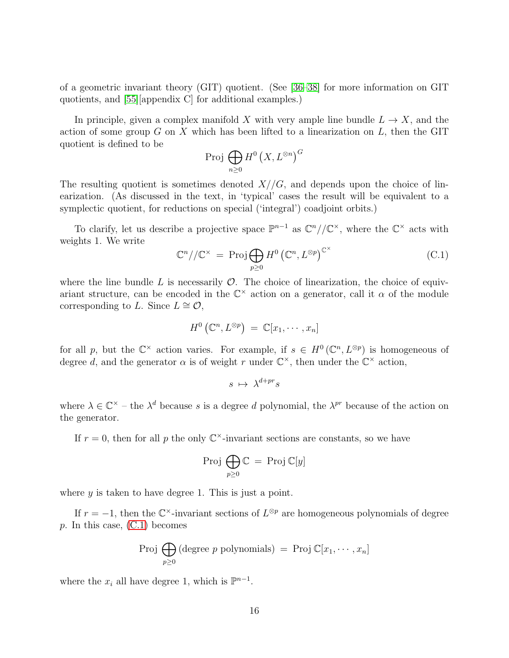of a geometric invariant theory (GIT) quotient. (See [\[36](#page-21-1)[–38\]](#page-21-2) for more information on GIT quotients, and [\[55\]](#page-22-5)[appendix C] for additional examples.)

In principle, given a complex manifold X with very ample line bundle  $L \to X$ , and the action of some group  $G$  on  $X$  which has been lifted to a linearization on  $L$ , then the GIT quotient is defined to be

$$
\operatorname{Proj} \bigoplus_{n\geq 0} H^0\left(X, L^{\otimes n}\right)^G
$$

The resulting quotient is sometimes denoted  $X//G$ , and depends upon the choice of linearization. (As discussed in the text, in 'typical' cases the result will be equivalent to a symplectic quotient, for reductions on special ('integral') coadjoint orbits.)

To clarify, let us describe a projective space  $\mathbb{P}^{n-1}$  as  $\mathbb{C}^n//\mathbb{C}^{\times}$ , where the  $\mathbb{C}^{\times}$  acts with weights 1. We write

<span id="page-17-0"></span>
$$
\mathbb{C}^n//\mathbb{C}^\times = \text{Proj}\bigoplus_{p\geq 0} H^0\left(\mathbb{C}^n, L^{\otimes p}\right)^{\mathbb{C}^\times} \tag{C.1}
$$

where the line bundle L is necessarily  $\mathcal O$ . The choice of linearization, the choice of equivariant structure, can be encoded in the  $\mathbb{C}^{\times}$  action on a generator, call it  $\alpha$  of the module corresponding to L. Since  $L \cong \mathcal{O}$ ,

$$
H^0\left(\mathbb{C}^n,L^{\otimes p}\right) \;=\; \mathbb{C}[x_1,\cdots,x_n]
$$

for all p, but the  $\mathbb{C}^{\times}$  action varies. For example, if  $s \in H^{0}(\mathbb{C}^{n}, L^{\otimes p})$  is homogeneous of degree d, and the generator  $\alpha$  is of weight r under  $\mathbb{C}^{\times}$ , then under the  $\mathbb{C}^{\times}$  action,

$$
s\ \mapsto\ \lambda^{d+pr}s
$$

where  $\lambda \in \mathbb{C}^{\times}$  – the  $\lambda^{d}$  because s is a degree d polynomial, the  $\lambda^{pr}$  because of the action on the generator.

If  $r = 0$ , then for all p the only  $\mathbb{C}^{\times}$ -invariant sections are constants, so we have

$$
\mathrm{Proj} \, \bigoplus_{p \geq 0} \mathbb{C} \, = \, \mathrm{Proj} \, \mathbb{C}[y]
$$

where  $y$  is taken to have degree 1. This is just a point.

If  $r = -1$ , then the  $\mathbb{C}^{\times}$ -invariant sections of  $L^{\otimes p}$  are homogeneous polynomials of degree  $p$ . In this case,  $(C.1)$  becomes

$$
Proj \bigoplus_{p \geq 0} (\text{degree } p \text{ polynomials}) = Proj \mathbb{C}[x_1, \cdots, x_n]
$$

where the  $x_i$  all have degree 1, which is  $\mathbb{P}^{n-1}$ .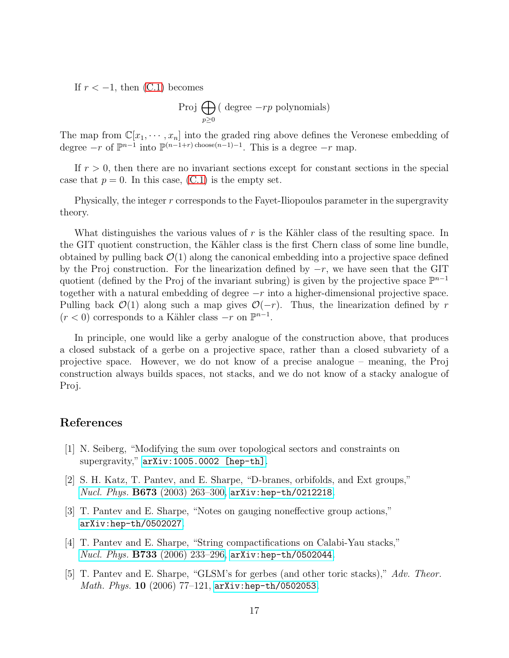If  $r < -1$ , then  $(C.1)$  becomes

$$
Proj \bigoplus_{p \geq 0} (\text{ degree } -rp \text{ polynomials})
$$

The map from  $\mathbb{C}[x_1, \dots, x_n]$  into the graded ring above defines the Veronese embedding of degree  $-r$  of  $\mathbb{P}^{n-1}$  into  $\mathbb{P}^{(n-1+r) \text{ choose}(n-1)-1}$ . This is a degree  $-r$  map.

If  $r > 0$ , then there are no invariant sections except for constant sections in the special case that  $p = 0$ . In this case, [\(C.1\)](#page-17-0) is the empty set.

Physically, the integer  $r$  corresponds to the Fayet-Iliopoulos parameter in the supergravity theory.

What distinguishes the various values of  $r$  is the Kähler class of the resulting space. In the GIT quotient construction, the Kähler class is the first Chern class of some line bundle, obtained by pulling back  $\mathcal{O}(1)$  along the canonical embedding into a projective space defined by the Proj construction. For the linearization defined by  $-r$ , we have seen that the GIT quotient (defined by the Proj of the invariant subring) is given by the projective space  $\mathbb{P}^{n-1}$ together with a natural embedding of degree  $-r$  into a higher-dimensional projective space. Pulling back  $\mathcal{O}(1)$  along such a map gives  $\mathcal{O}(-r)$ . Thus, the linearization defined by r  $(r < 0)$  corresponds to a Kähler class  $-r$  on  $\mathbb{P}^{n-1}$ .

In principle, one would like a gerby analogue of the construction above, that produces a closed substack of a gerbe on a projective space, rather than a closed subvariety of a projective space. However, we do not know of a precise analogue – meaning, the Proj construction always builds spaces, not stacks, and we do not know of a stacky analogue of Proj.

# <span id="page-18-0"></span>References

- <span id="page-18-1"></span>[1] N. Seiberg, "Modifying the sum over topological sectors and constraints on supergravity," [arXiv:1005.0002 \[hep-th\]](http://arxiv.org/abs/1005.0002).
- [2] S. H. Katz, T. Pantev, and E. Sharpe, "D-branes, orbifolds, and Ext groups," Nucl. Phys. **B673** (2003) 263-300, [arXiv:hep-th/0212218](http://arxiv.org/abs/hep-th/0212218).
- [3] T. Pantev and E. Sharpe, "Notes on gauging noneffective group actions," [arXiv:hep-th/0502027](http://arxiv.org/abs/hep-th/0502027).
- [4] T. Pantev and E. Sharpe, "String compactifications on Calabi-Yau stacks," *Nucl. Phys.*  $\bf{B733}$  (2006) 233-296,  $\arXiv:$ hep-th/0502044.
- [5] T. Pantev and E. Sharpe, "GLSM's for gerbes (and other toric stacks)," Adv. Theor. Math. Phys. 10 (2006) 77-121, [arXiv:hep-th/0502053](http://arxiv.org/abs/hep-th/0502053).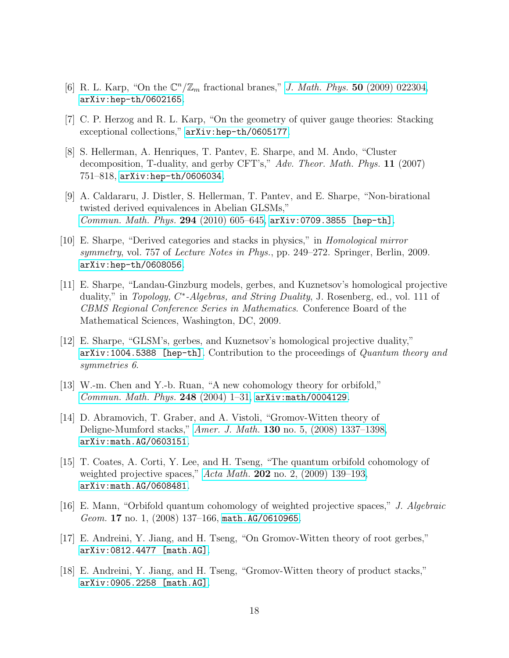- [6] R. L. Karp, "On the  $\mathbb{C}^n/\mathbb{Z}_m$  fractional branes," [J. Math. Phys.](http://dx.doi.org/10.1063/1.3072696) 50 (2009) 022304, [arXiv:hep-th/0602165](http://arxiv.org/abs/hep-th/0602165).
- <span id="page-19-5"></span>[7] C. P. Herzog and R. L. Karp, "On the geometry of quiver gauge theories: Stacking exceptional collections," [arXiv:hep-th/0605177](http://arxiv.org/abs/hep-th/0605177).
- [8] S. Hellerman, A. Henriques, T. Pantev, E. Sharpe, and M. Ando, "Cluster decomposition, T-duality, and gerby CFT's," Adv. Theor. Math. Phys. 11 (2007) 751–818, [arXiv:hep-th/0606034](http://arxiv.org/abs/hep-th/0606034).
- <span id="page-19-0"></span>[9] A. Caldararu, J. Distler, S. Hellerman, T. Pantev, and E. Sharpe, "Non-birational twisted derived equivalences in Abelian GLSMs," [Commun. Math. Phys.](http://dx.doi.org/10.1007/s00220-009-0974-2) 294 (2010) 605–645, [arXiv:0709.3855 \[hep-th\]](http://arxiv.org/abs/0709.3855).
- <span id="page-19-1"></span>[10] E. Sharpe, "Derived categories and stacks in physics," in Homological mirror symmetry, vol. 757 of *Lecture Notes in Phys.*, pp. 249–272. Springer, Berlin, 2009. [arXiv:hep-th/0608056](http://arxiv.org/abs/hep-th/0608056).
- [11] E. Sharpe, "Landau-Ginzburg models, gerbes, and Kuznetsov's homological projective duality," in Topology, C\*-Algebras, and String Duality, J. Rosenberg, ed., vol. 111 of CBMS Regional Conference Series in Mathematics. Conference Board of the Mathematical Sciences, Washington, DC, 2009.
- <span id="page-19-2"></span>[12] E. Sharpe, "GLSM's, gerbes, and Kuznetsov's homological projective duality,"  $arXiv:1004.5388$  [hep-th]. Contribution to the proceedings of Quantum theory and symmetries 6.
- <span id="page-19-3"></span>[13] W.-m. Chen and Y.-b. Ruan, "A new cohomology theory for orbifold," [Commun. Math. Phys.](http://dx.doi.org/10.1007/s00220-004-1089-4) 248 (2004) 1–31, [arXiv:math/0004129](http://arxiv.org/abs/math/0004129).
- [14] D. Abramovich, T. Graber, and A. Vistoli, "Gromov-Witten theory of Deligne-Mumford stacks," Amer. J. Math. 130 [no. 5, \(2008\) 1337–1398,](http://dx.doi.org/10.1353/ajm.0.0017) [arXiv:math.AG/0603151](http://arxiv.org/abs/math.AG/0603151).
- [15] T. Coates, A. Corti, Y. Lee, and H. Tseng, "The quantum orbifold cohomology of weighted projective spaces," Acta Math. 202 [no. 2, \(2009\) 139–193,](http://dx.doi.org/10.1007/s11511-009-0035-x) [arXiv:math.AG/0608481](http://arxiv.org/abs/math.AG/0608481).
- <span id="page-19-4"></span>[16] E. Mann, "Orbifold quantum cohomology of weighted projective spaces," J. Algebraic Geom. 17 no. 1, (2008) 137–166, [math.AG/0610965](http://arxiv.org/abs/math.AG/0610965).
- <span id="page-19-6"></span>[17] E. Andreini, Y. Jiang, and H. Tseng, "On Gromov-Witten theory of root gerbes," [arXiv:0812.4477 \[math.AG\]](http://arxiv.org/abs/0812.4477).
- [18] E. Andreini, Y. Jiang, and H. Tseng, "Gromov-Witten theory of product stacks," [arXiv:0905.2258 \[math.AG\]](http://arxiv.org/abs/0905.2258).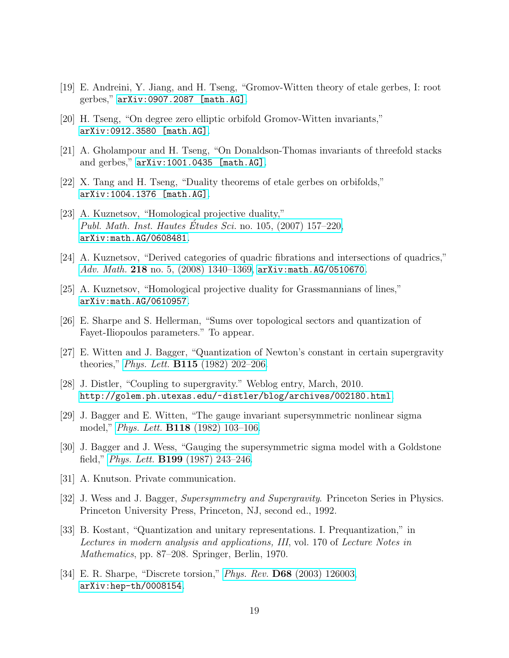- [19] E. Andreini, Y. Jiang, and H. Tseng, "Gromov-Witten theory of etale gerbes, I: root gerbes," [arXiv:0907.2087 \[math.AG\]](http://arxiv.org/abs/0907.2087).
- [20] H. Tseng, "On degree zero elliptic orbifold Gromov-Witten invariants," [arXiv:0912.3580 \[math.AG\]](http://arxiv.org/abs/0912.3580).
- <span id="page-20-0"></span>[21] A. Gholampour and H. Tseng, "On Donaldson-Thomas invariants of threefold stacks and gerbes," [arXiv:1001.0435 \[math.AG\]](http://arxiv.org/abs/1001.0435).
- <span id="page-20-1"></span>[22] X. Tang and H. Tseng, "Duality theorems of etale gerbes on orbifolds," [arXiv:1004.1376 \[math.AG\]](http://arxiv.org/abs/1004.1376).
- [23] A. Kuznetsov, "Homological projective duality," [Publ. Math. Inst. Hautes](http://dx.doi.org/10.1007/s10240-007-0006-8) Etudes Sci. no. 105,  $(2007)$  157–220, [arXiv:math.AG/0608481](http://arxiv.org/abs/math.AG/0608481).
- <span id="page-20-2"></span>[24] A. Kuznetsov, "Derived categories of quadric fibrations and intersections of quadrics," Adv. Math. 218 no. 5,  $(2008)$  1340-1369, [arXiv:math.AG/0510670](http://arxiv.org/abs/math.AG/0510670).
- <span id="page-20-3"></span>[25] A. Kuznetsov, "Homological projective duality for Grassmannians of lines," [arXiv:math.AG/0610957](http://arxiv.org/abs/math.AG/0610957).
- <span id="page-20-4"></span>[26] E. Sharpe and S. Hellerman, "Sums over topological sectors and quantization of Fayet-Iliopoulos parameters." To appear.
- <span id="page-20-5"></span>[27] E. Witten and J. Bagger, "Quantization of Newton's constant in certain supergravity theories," *Phys. Lett.* **B115** [\(1982\) 202–206.](http://dx.doi.org/10.1016/0370-2693(82)90644-X)
- [28] J. Distler, "Coupling to supergravity." Weblog entry, March, 2010. <http://golem.ph.utexas.edu/~distler/blog/archives/002180.html>.
- <span id="page-20-6"></span>[29] J. Bagger and E. Witten, "The gauge invariant supersymmetric nonlinear sigma model," *Phys. Lett.* **B118** (1982) 103-106.
- <span id="page-20-7"></span>[30] J. Bagger and J. Wess, "Gauging the supersymmetric sigma model with a Goldstone field," *Phys. Lett.* **B199** [\(1987\) 243–246.](http://dx.doi.org/10.1016/0370-2693(87)91367-0)
- <span id="page-20-9"></span><span id="page-20-8"></span>[31] A. Knutson. Private communication.
- [32] J. Wess and J. Bagger, Supersymmetry and Supergravity. Princeton Series in Physics. Princeton University Press, Princeton, NJ, second ed., 1992.
- <span id="page-20-10"></span>[33] B. Kostant, "Quantization and unitary representations. I. Prequantization," in Lectures in modern analysis and applications, III, vol. 170 of Lecture Notes in Mathematics, pp. 87–208. Springer, Berlin, 1970.
- <span id="page-20-11"></span>[34] E. R. Sharpe, "Discrete torsion," Phys. Rev. D68 [\(2003\) 126003,](http://dx.doi.org/10.1103/PhysRevD.68.126003) [arXiv:hep-th/0008154](http://arxiv.org/abs/hep-th/0008154).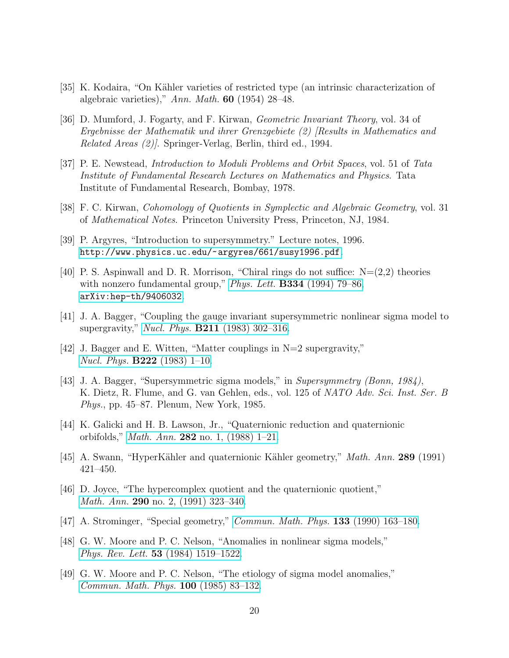- <span id="page-21-1"></span><span id="page-21-0"></span>[35] K. Kodaira, "On Kähler varieties of restricted type (an intrinsic characterization of algebraic varieties)," Ann. Math.  $60$  (1954) 28–48.
- [36] D. Mumford, J. Fogarty, and F. Kirwan, Geometric Invariant Theory, vol. 34 of Ergebnisse der Mathematik und ihrer Grenzgebiete (2) [Results in Mathematics and Related Areas (2)]. Springer-Verlag, Berlin, third ed., 1994.
- [37] P. E. Newstead, Introduction to Moduli Problems and Orbit Spaces, vol. 51 of Tata Institute of Fundamental Research Lectures on Mathematics and Physics. Tata Institute of Fundamental Research, Bombay, 1978.
- <span id="page-21-3"></span><span id="page-21-2"></span>[38] F. C. Kirwan, Cohomology of Quotients in Symplectic and Algebraic Geometry, vol. 31 of Mathematical Notes. Princeton University Press, Princeton, NJ, 1984.
- <span id="page-21-4"></span>[39] P. Argyres, "Introduction to supersymmetry." Lecture notes, 1996. <http://www.physics.uc.edu/~argyres/661/susy1996.pdf>.
- [40] P. S. Aspinwall and D. R. Morrison, "Chiral rings do not suffice:  $N=(2,2)$  theories with nonzero fundamental group," Phys. Lett.  $B334$  [\(1994\) 79–86,](http://dx.doi.org/10.1016/0370-2693(94)90594-0) [arXiv:hep-th/9406032](http://arxiv.org/abs/hep-th/9406032).
- <span id="page-21-5"></span>[41] J. A. Bagger, "Coupling the gauge invariant supersymmetric nonlinear sigma model to supergravity," Nucl. Phys. **B211** (1983) 302-316.
- <span id="page-21-6"></span>[42] J. Bagger and E. Witten, "Matter couplings in N=2 supergravity," Nucl. Phys. B222 [\(1983\) 1–10.](http://dx.doi.org/10.1016/0550-3213(83)90605-3)
- <span id="page-21-7"></span>[43] J. A. Bagger, "Supersymmetric sigma models," in Supersymmetry (Bonn, 1984), K. Dietz, R. Flume, and G. van Gehlen, eds., vol. 125 of NATO Adv. Sci. Inst. Ser. B Phys., pp. 45–87. Plenum, New York, 1985.
- <span id="page-21-8"></span>[44] K. Galicki and H. B. Lawson, Jr., "Quaternionic reduction and quaternionic orbifolds," Math. Ann. 282 [no. 1, \(1988\) 1–21.](http://dx.doi.org/10.1007/BF01457009)
- <span id="page-21-9"></span>[45] A. Swann, "HyperKähler and quaternionic Kähler geometry," *Math. Ann.* 289 (1991) 421–450.
- [46] D. Joyce, "The hypercomplex quotient and the quaternionic quotient," Math. Ann. 290 [no. 2, \(1991\) 323–340.](http://dx.doi.org/10.1007/BF01459248)
- <span id="page-21-11"></span><span id="page-21-10"></span>[47] A. Strominger, "Special geometry," *[Commun. Math. Phys.](http://dx.doi.org/10.1007/BF02096559)* **133** (1990) 163–180.
- [48] G. W. Moore and P. C. Nelson, "Anomalies in nonlinear sigma models," Phys. Rev. Lett. 53 [\(1984\) 1519–1522.](http://dx.doi.org/10.1103/PhysRevLett.53.1519)
- [49] G. W. Moore and P. C. Nelson, "The etiology of sigma model anomalies," [Commun. Math. Phys.](http://dx.doi.org/10.1007/BF01212688) 100 (1985) 83–132.